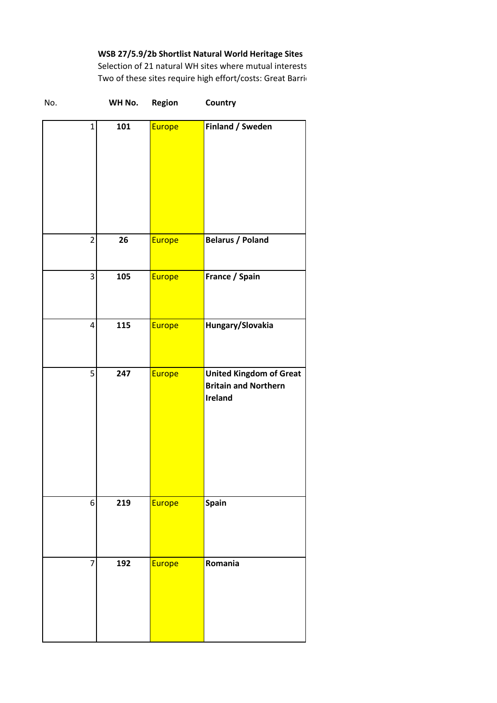**WSB 27/5.9/2b Shortlist Natural World Heritage Sites**

Selection of 21 natural WH sites where mutual interests Two of these sites require high effort/costs: Great Barrie

| No.            | WH No. | Region | Country                                                                         |
|----------------|--------|--------|---------------------------------------------------------------------------------|
| $\mathbf{1}$   | 101    | Europe | Finland / Sweden                                                                |
| $\overline{c}$ | 26     | Europe | <b>Belarus / Poland</b>                                                         |
| 3              | 105    | Europe | France / Spain                                                                  |
| 4              | 115    | Europe | Hungary/Slovakia                                                                |
| 5              | 247    | Europe | <b>United Kingdom of Great</b><br><b>Britain and Northern</b><br><b>Ireland</b> |
| 6              | 219    | Europe | Spain                                                                           |
| 7              | 192    | Europe | Romania                                                                         |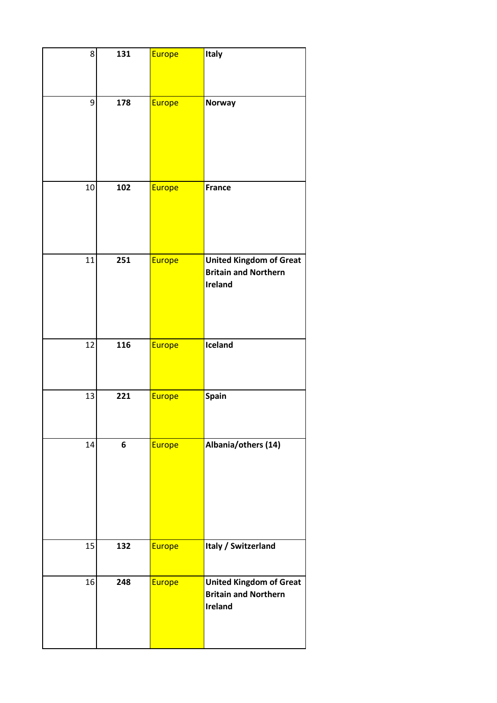| 8  | 131 | Europe | Italy                                                                           |
|----|-----|--------|---------------------------------------------------------------------------------|
| 9  | 178 | Europe | Norway                                                                          |
| 10 | 102 | Europe | <b>France</b>                                                                   |
| 11 | 251 | Europe | <b>United Kingdom of Great</b><br><b>Britain and Northern</b><br><b>Ireland</b> |
| 12 | 116 | Europe | Iceland                                                                         |
| 13 | 221 | Europe | Spain                                                                           |
| 14 | 6   | Europe | Albania/others (14)                                                             |
| 15 | 132 | Europe | Italy / Switzerland                                                             |
| 16 | 248 | Europe | <b>United Kingdom of Great</b><br><b>Britain and Northern</b><br><b>Ireland</b> |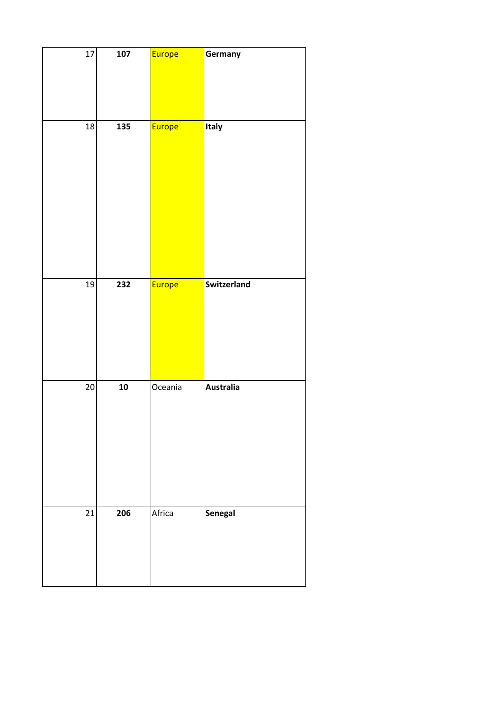| 17              | 107             | Europe  | Germany          |
|-----------------|-----------------|---------|------------------|
| 18              | 135             | Europe  | Italy            |
| 19              | 232             | Europe  | Switzerland      |
| $\overline{20}$ | $\overline{10}$ | Oceania | <b>Australia</b> |
| 21              | 206             | Africa  | Senegal          |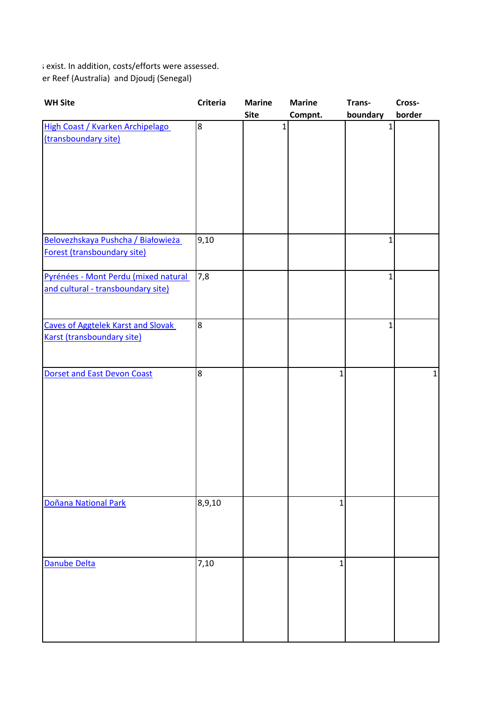s exist. In addition, costs/efforts were assessed. er Reef (Australia) and Djoudj (Senegal)

| <b>WH Site</b>                                                             | <b>Criteria</b>  | <b>Marine</b><br><b>Site</b> | <b>Marine</b><br>Compnt. | Trans-<br>boundary | Cross-<br>border |
|----------------------------------------------------------------------------|------------------|------------------------------|--------------------------|--------------------|------------------|
| High Coast / Kvarken Archipelago<br>(transboundary site)                   | $\boldsymbol{8}$ | $\mathbf{1}$                 |                          | $\mathbf 1$        |                  |
| Belovezhskaya Pushcha / Białowieża<br>Forest (transboundary site)          | 9,10             |                              |                          | 1                  |                  |
| Pyrénées - Mont Perdu (mixed natural<br>and cultural - transboundary site) | 7,8              |                              |                          | $\mathbf{1}$       |                  |
| <b>Caves of Aggtelek Karst and Slovak</b><br>Karst (transboundary site)    | $\overline{8}$   |                              |                          | 1                  |                  |
| <b>Dorset and East Devon Coast</b>                                         | $\overline{8}$   |                              | $\mathbf{1}$             |                    | 1                |
| Doñana National Park                                                       | 8,9,10           |                              | $\mathbf{1}$             |                    |                  |
| Danube Delta                                                               | 7,10             |                              | $\mathbf{1}$             |                    |                  |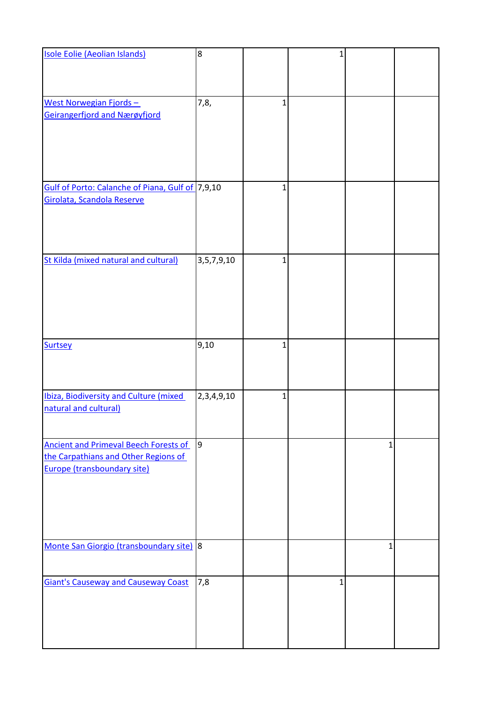| Isole Eolie (Aeolian Islands)                                                                                       | $\overline{8}$ |              | $\mathbf{1}$ |   |  |
|---------------------------------------------------------------------------------------------------------------------|----------------|--------------|--------------|---|--|
|                                                                                                                     |                |              |              |   |  |
| West Norwegian Fjords-                                                                                              | 7,8,           | $\mathbf{1}$ |              |   |  |
| Geirangerfjord and Nærøyfjord                                                                                       |                |              |              |   |  |
| Gulf of Porto: Calanche of Piana, Gulf of 7,9,10                                                                    |                | $\mathbf{1}$ |              |   |  |
| Girolata, Scandola Reserve                                                                                          |                |              |              |   |  |
| St Kilda (mixed natural and cultural)                                                                               | 3, 5, 7, 9, 10 | $\mathbf{1}$ |              |   |  |
| <b>Surtsey</b>                                                                                                      | 9,10           | $\mathbf{1}$ |              |   |  |
| Ibiza, Biodiversity and Culture (mixed<br>natural and cultural)                                                     | 2,3,4,9,10     | $\mathbf{1}$ |              |   |  |
| <b>Ancient and Primeval Beech Forests of</b><br>the Carpathians and Other Regions of<br>Europe (transboundary site) | $\vert$ 9      |              |              | 1 |  |
| Monte San Giorgio (transboundary site) 8                                                                            |                |              |              | 1 |  |
| <b>Giant's Causeway and Causeway Coast</b>                                                                          | 7,8            |              | 1            |   |  |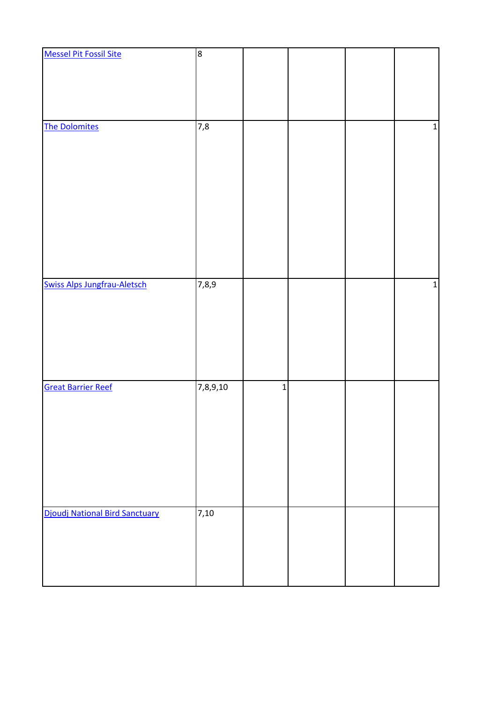| <b>Messel Pit Fossil Site</b>         | 8        |             |  |             |
|---------------------------------------|----------|-------------|--|-------------|
|                                       |          |             |  |             |
|                                       |          |             |  |             |
|                                       |          |             |  |             |
|                                       |          |             |  |             |
|                                       |          |             |  |             |
| <b>The Dolomites</b>                  | 7,8      |             |  | $\mathbf 1$ |
|                                       |          |             |  |             |
|                                       |          |             |  |             |
|                                       |          |             |  |             |
|                                       |          |             |  |             |
|                                       |          |             |  |             |
|                                       |          |             |  |             |
|                                       |          |             |  |             |
|                                       |          |             |  |             |
|                                       |          |             |  |             |
|                                       |          |             |  |             |
|                                       |          |             |  |             |
|                                       |          |             |  |             |
|                                       |          |             |  |             |
| <b>Swiss Alps Jungfrau-Aletsch</b>    | 7,8,9    |             |  | $\mathbf 1$ |
|                                       |          |             |  |             |
|                                       |          |             |  |             |
|                                       |          |             |  |             |
|                                       |          |             |  |             |
|                                       |          |             |  |             |
|                                       |          |             |  |             |
|                                       |          |             |  |             |
| <b>Great Barrier Reef</b>             | 7,8,9,10 | $\mathbf 1$ |  |             |
|                                       |          |             |  |             |
|                                       |          |             |  |             |
|                                       |          |             |  |             |
|                                       |          |             |  |             |
|                                       |          |             |  |             |
|                                       |          |             |  |             |
|                                       |          |             |  |             |
|                                       |          |             |  |             |
|                                       |          |             |  |             |
|                                       |          |             |  |             |
| <b>Djoudj National Bird Sanctuary</b> | 7,10     |             |  |             |
|                                       |          |             |  |             |
|                                       |          |             |  |             |
|                                       |          |             |  |             |
|                                       |          |             |  |             |
|                                       |          |             |  |             |
|                                       |          |             |  |             |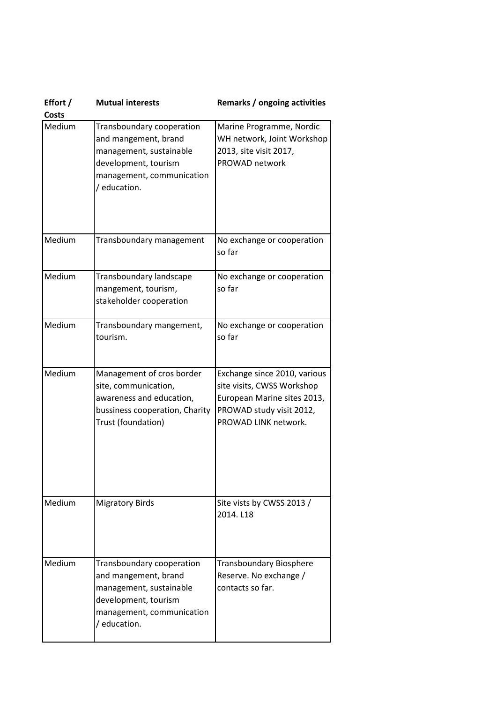| Effort /<br><b>Costs</b> | <b>Mutual interests</b>                                                                                                                           | Remarks / ongoing activities                                                                                                                  |
|--------------------------|---------------------------------------------------------------------------------------------------------------------------------------------------|-----------------------------------------------------------------------------------------------------------------------------------------------|
| Medium                   | Transboundary cooperation<br>and mangement, brand<br>management, sustainable<br>development, tourism<br>management, communication<br>/ education. | Marine Programme, Nordic<br>WH network, Joint Workshop<br>2013, site visit 2017,<br>PROWAD network                                            |
| Medium                   | Transboundary management                                                                                                                          | No exchange or cooperation<br>so far                                                                                                          |
| Medium                   | Transboundary landscape<br>mangement, tourism,<br>stakeholder cooperation                                                                         | No exchange or cooperation<br>so far                                                                                                          |
| Medium                   | Transboundary mangement,<br>tourism.                                                                                                              | No exchange or cooperation<br>so far                                                                                                          |
| Medium                   | Management of cros border<br>site, communication,<br>awareness and education,<br>bussiness cooperation, Charity<br>Trust (foundation)             | Exchange since 2010, various<br>site visits, CWSS Workshop<br>European Marine sites 2013,<br>PROWAD study visit 2012,<br>PROWAD LINK network. |
| Medium                   | <b>Migratory Birds</b>                                                                                                                            | Site vists by CWSS 2013 /<br>2014. L18                                                                                                        |
| Medium                   | Transboundary cooperation<br>and mangement, brand<br>management, sustainable<br>development, tourism<br>management, communication<br>/ education. | <b>Transboundary Biosphere</b><br>Reserve. No exchange /<br>contacts so far.                                                                  |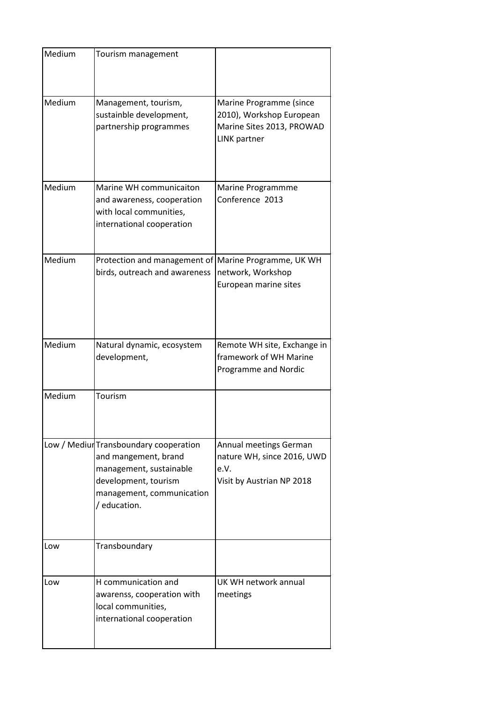| Medium | Tourism management                                                                                                                                             |                                                                                                         |
|--------|----------------------------------------------------------------------------------------------------------------------------------------------------------------|---------------------------------------------------------------------------------------------------------|
| Medium | Management, tourism,<br>sustainble development,<br>partnership programmes                                                                                      | Marine Programme (since<br>2010), Workshop European<br>Marine Sites 2013, PROWAD<br><b>LINK</b> partner |
| Medium | Marine WH communicaiton<br>and awareness, cooperation<br>with local communities,<br>international cooperation                                                  | Marine Programmme<br>Conference 2013                                                                    |
| Medium | Protection and management of Marine Programme, UK WH<br>birds, outreach and awareness                                                                          | network, Workshop<br>European marine sites                                                              |
| Medium | Natural dynamic, ecosystem<br>development,                                                                                                                     | Remote WH site, Exchange in<br>framework of WH Marine<br>Programme and Nordic                           |
| Medium | Tourism                                                                                                                                                        |                                                                                                         |
|        | Low / Mediur Transboundary cooperation<br>and mangement, brand<br>management, sustainable<br>development, tourism<br>management, communication<br>/ education. | Annual meetings German<br>nature WH, since 2016, UWD<br>e.V.<br>Visit by Austrian NP 2018               |
| Low    | Transboundary                                                                                                                                                  |                                                                                                         |
| Low    | H communication and<br>awarenss, cooperation with<br>local communities,<br>international cooperation                                                           | UK WH network annual<br>meetings                                                                        |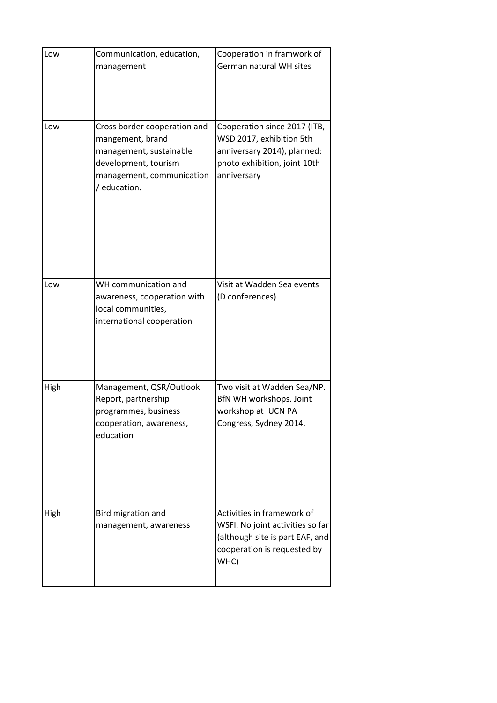| Low  | Communication, education,<br>management                                                                                                          | Cooperation in framwork of<br>German natural WH sites                                                                                    |
|------|--------------------------------------------------------------------------------------------------------------------------------------------------|------------------------------------------------------------------------------------------------------------------------------------------|
| Low  | Cross border cooperation and<br>mangement, brand<br>management, sustainable<br>development, tourism<br>management, communication<br>/ education. | Cooperation since 2017 (ITB,<br>WSD 2017, exhibition 5th<br>anniversary 2014), planned:<br>photo exhibition, joint 10th<br>anniversary   |
| Low  | WH communication and<br>awareness, cooperation with<br>local communities,<br>international cooperation                                           | Visit at Wadden Sea events<br>(D conferences)                                                                                            |
| High | Management, QSR/Outlook<br>Report, partnership<br>programmes, business<br>cooperation, awareness,<br>education                                   | Two visit at Wadden Sea/NP.<br>BfN WH workshops. Joint<br>workshop at IUCN PA<br>Congress, Sydney 2014.                                  |
| High | Bird migration and<br>management, awareness                                                                                                      | Activities in framework of<br>WSFI. No joint activities so far<br>(although site is part EAF, and<br>cooperation is requested by<br>WHC) |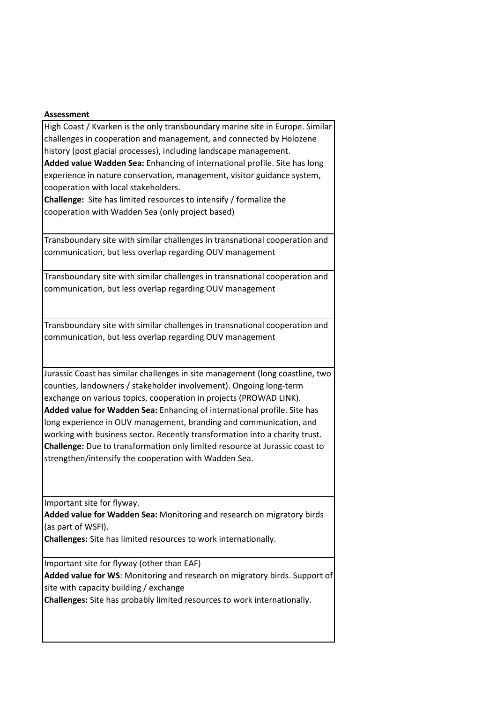## **Assessment**

High Coast / Kvarken is the only transboundary marine site in Europe. Similar challenges in cooperation and management, and connected by Holozene history (post glacial processes), including landscape management.

**Added value Wadden Sea:** Enhancing of international profile. Site has long experience in nature conservation, management, visitor guidance system, cooperation with local stakeholders.

**Challenge:** Site has limited resources to intensify / formalize the cooperation with Wadden Sea (only project based)

Transboundary site with similar challenges in transnational cooperation and communication, but less overlap regarding OUV management

Transboundary site with similar challenges in transnational cooperation and communication, but less overlap regarding OUV management

Transboundary site with similar challenges in transnational cooperation and communication, but less overlap regarding OUV management

Jurassic Coast has similar challenges in site management (long coastline, two counties, landowners / stakeholder involvement). Ongoing long-term exchange on various topics, cooperation in projects (PROWAD LINK). **Added value for Wadden Sea:** Enhancing of international profile. Site has long experience in OUV management, branding and communication, and working with business sector. Recently transformation into a charity trust. **Challenge:** Due to transformation only limited resource at Jurassic coast to strengthen/intensify the cooperation with Wadden Sea.

Important site for flyway.

**Added value for Wadden Sea:** Monitoring and research on migratory birds (as part of WSFI).

**Challenges:** Site has limited resources to work internationally.

Important site for flyway (other than EAF)

**Added value for WS**: Monitoring and research on migratory birds. Support of site with capacity building / exchange

**Challenges:** Site has probably limited resources to work internationally.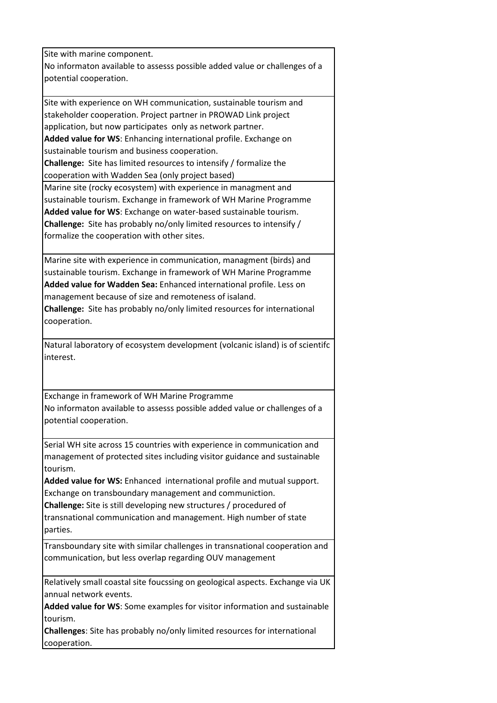Site with marine component.

No informaton available to assesss possible added value or challenges of a potential cooperation.

Site with experience on WH communication, sustainable tourism and stakeholder cooperation. Project partner in PROWAD Link project application, but now participates only as network partner.

**Added value for WS**: Enhancing international profile. Exchange on sustainable tourism and business cooperation.

**Challenge:** Site has limited resources to intensify / formalize the cooperation with Wadden Sea (only project based)

Marine site (rocky ecosystem) with experience in managment and sustainable tourism. Exchange in framework of WH Marine Programme **Added value for WS**: Exchange on water-based sustainable tourism. **Challenge:** Site has probably no/only limited resources to intensify / formalize the cooperation with other sites.

Marine site with experience in communication, managment (birds) and sustainable tourism. Exchange in framework of WH Marine Programme **Added value for Wadden Sea:** Enhanced international profile. Less on management because of size and remoteness of isaland.

**Challenge:** Site has probably no/only limited resources for international cooperation.

Natural laboratory of ecosystem development (volcanic island) is of scientifc interest.

Exchange in framework of WH Marine Programme No informaton available to assesss possible added value or challenges of a potential cooperation.

Serial WH site across 15 countries with experience in communication and management of protected sites including visitor guidance and sustainable tourism.

**Added value for WS:** Enhanced international profile and mutual support. Exchange on transboundary management and communiction.

**Challenge:** Site is still developing new structures / procedured of transnational communication and management. High number of state parties.

Transboundary site with similar challenges in transnational cooperation and communication, but less overlap regarding OUV management

Relatively small coastal site foucssing on geological aspects. Exchange via UK annual network events.

**Added value for WS**: Some examples for visitor information and sustainable tourism.

**Challenges**: Site has probably no/only limited resources for international cooperation.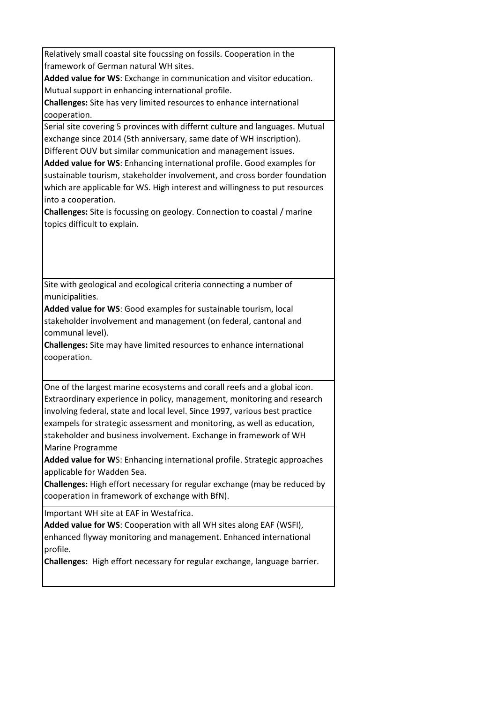Relatively small coastal site foucssing on fossils. Cooperation in the framework of German natural WH sites.

**Added value for WS**: Exchange in communication and visitor education. Mutual support in enhancing international profile.

**Challenges:** Site has very limited resources to enhance international cooperation.

Serial site covering 5 provinces with differnt culture and languages. Mutual exchange since 2014 (5th anniversary, same date of WH inscription). Different OUV but similar communication and management issues.

**Added value for WS**: Enhancing international profile. Good examples for sustainable tourism, stakeholder involvement, and cross border foundation which are applicable for WS. High interest and willingness to put resources into a cooperation.

**Challenges:** Site is focussing on geology. Connection to coastal / marine topics difficult to explain.

Site with geological and ecological criteria connecting a number of municipalities.

**Added value for WS**: Good examples for sustainable tourism, local stakeholder involvement and management (on federal, cantonal and communal level).

**Challenges:** Site may have limited resources to enhance international cooperation.

One of the largest marine ecosystems and corall reefs and a global icon. Extraordinary experience in policy, management, monitoring and research involving federal, state and local level. Since 1997, various best practice exampels for strategic assessment and monitoring, as well as education, stakeholder and business involvement. Exchange in framework of WH Marine Programme

**Added value for W**S: Enhancing international profile. Strategic approaches applicable for Wadden Sea.

**Challenges:** High effort necessary for regular exchange (may be reduced by cooperation in framework of exchange with BfN).

Important WH site at EAF in Westafrica.

**Added value for WS**: Cooperation with all WH sites along EAF (WSFI), enhanced flyway monitoring and management. Enhanced international profile.

**Challenges:** High effort necessary for regular exchange, language barrier.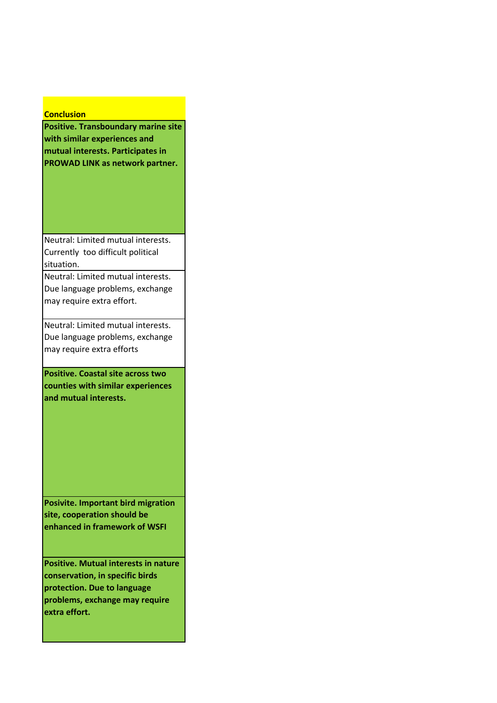## **Conclusion**

**Positive. Transboundary marine site with similar experiences and mutual interests. Participates in PROWAD LINK as network partner.**

Neutral: Limited mutual interests. Currently too difficult political situation.

Neutral: Limited mutual interests. Due language problems, exchange may require extra effort.

Neutral: Limited mutual interests. Due language problems, exchange may require extra efforts

**Positive. Coastal site across two counties with similar experiences and mutual interests.**

**Posivite. Important bird migration site, cooperation should be enhanced in framework of WSFI**

**Positive. Mutual interests in nature conservation, in specific birds protection. Due to language problems, exchange may require extra effort.**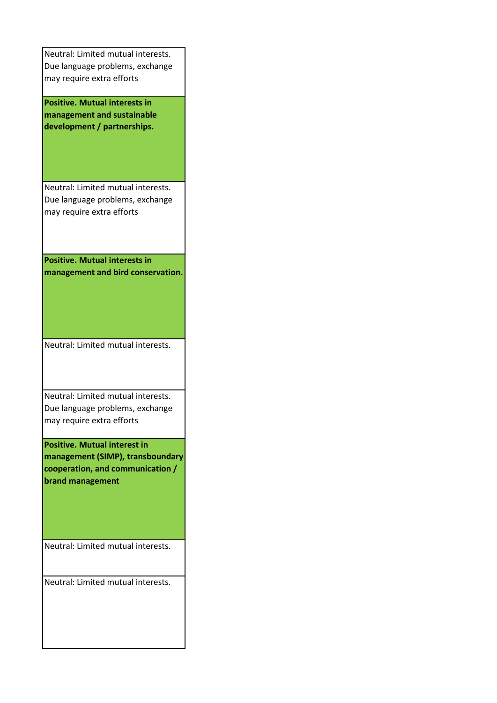| Neutral: Limited mutual interests.   |
|--------------------------------------|
| Due language problems, exchange      |
| may require extra efforts            |
|                                      |
| <b>Positive. Mutual interests in</b> |
| management and sustainable           |
| development / partnerships.          |
|                                      |
|                                      |
|                                      |
|                                      |
| Neutral: Limited mutual interests.   |
| Due language problems, exchange      |
| may require extra efforts            |
|                                      |
|                                      |
|                                      |
| <b>Positive. Mutual interests in</b> |
| management and bird conservation.    |
|                                      |
|                                      |
|                                      |
|                                      |
|                                      |
|                                      |
| Neutral: Limited mutual interests.   |
|                                      |
|                                      |
|                                      |
| Neutral: Limited mutual interests.   |
| Due language problems, exchange      |
| may require extra efforts            |
|                                      |
| <b>Positive. Mutual interest in</b>  |
| management (SIMP), transboundary     |
| cooperation, and communication /     |
| brand management                     |
|                                      |
|                                      |
|                                      |
|                                      |
|                                      |
| Neutral: Limited mutual interests.   |
|                                      |
|                                      |
| Neutral: Limited mutual interests.   |
|                                      |
|                                      |
|                                      |
|                                      |
|                                      |
|                                      |